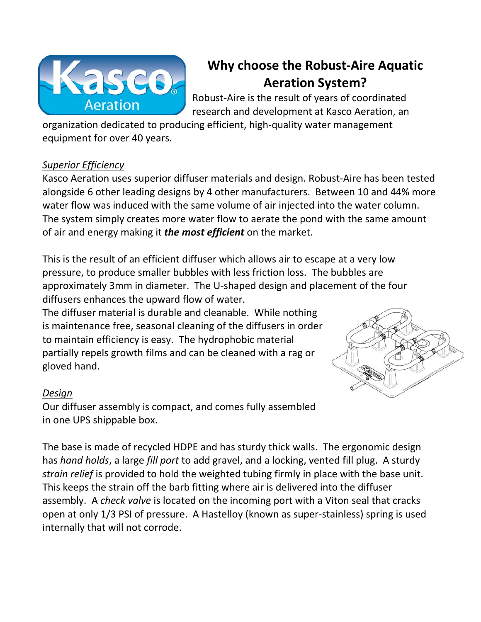

# **Why choose the Robust-Aire Aquatic Aeration System?**

Robust-Aire is the result of years of coordinated research and development at Kasco Aeration, an

organization dedicated to producing efficient, high-quality water management equipment for over 40 years.

## *Superior Efficiency*

Kasco Aeration uses superior diffuser materials and design. Robust-Aire has been tested alongside 6 other leading designs by 4 other manufacturers. Between 10 and 44% more water flow was induced with the same volume of air injected into the water column. The system simply creates more water flow to aerate the pond with the same amount of air and energy making it *the most efficient* on the market.

This is the result of an efficient diffuser which allows air to escape at a very low pressure, to produce smaller bubbles with less friction loss. The bubbles are approximately 3mm in diameter. The U-shaped design and placement of the four diffusers enhances the upward flow of water.

The diffuser material is durable and cleanable. While nothing is maintenance free, seasonal cleaning of the diffusers in order to maintain efficiency is easy. The hydrophobic material partially repels growth films and can be cleaned with a rag or gloved hand.



### *Design*

Our diffuser assembly is compact, and comes fully assembled in one UPS shippable box.

The base is made of recycled HDPE and has sturdy thick walls. The ergonomic design has *hand holds*, a large *fill port* to add gravel, and a locking, vented fill plug. A sturdy *strain relief* is provided to hold the weighted tubing firmly in place with the base unit. This keeps the strain off the barb fitting where air is delivered into the diffuser assembly. A *check valve* is located on the incoming port with a Viton seal that cracks open at only 1/3 PSI of pressure. A Hastelloy (known as super-stainless) spring is used internally that will not corrode.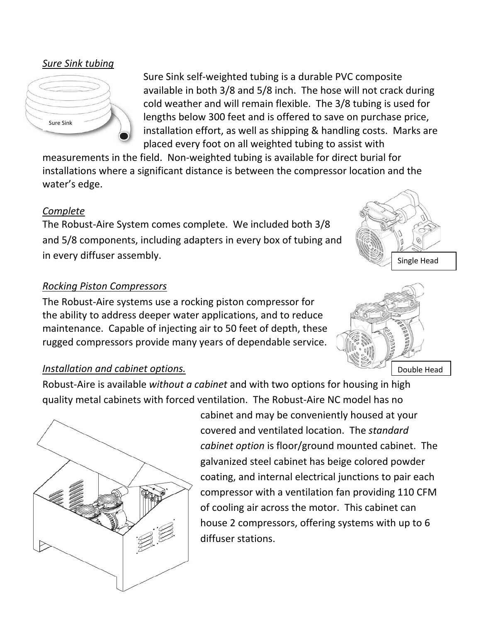*Sure Sink tubing*



Sure Sink self-weighted tubing is a durable PVC composite available in both 3/8 and 5/8 inch. The hose will not crack during cold weather and will remain flexible. The 3/8 tubing is used for lengths below 300 feet and is offered to save on purchase price, installation effort, as well as shipping & handling costs. Marks are placed every foot on all weighted tubing to assist with

measurements in the field. Non-weighted tubing is available for direct burial for installations where a significant distance is between the compressor location and the water's edge.

### *Complete*

The Robust-Aire System comes complete. We included both 3/8 and 5/8 components, including adapters in every box of tubing and in every diffuser assembly.

### *Rocking Piston Compressors*

The Robust-Aire systems use a rocking piston compressor for the ability to address deeper water applications, and to reduce maintenance. Capable of injecting air to 50 feet of depth, these rugged compressors provide many years of dependable service.



# Double Head

### *Installation and cabinet options.*

Robust-Aire is available *without a cabinet* and with two options for housing in high quality metal cabinets with forced ventilation. The Robust-Aire NC model has no



cabinet and may be conveniently housed at your covered and ventilated location. The *standard cabinet option* is floor/ground mounted cabinet. The galvanized steel cabinet has beige colored powder coating, and internal electrical junctions to pair each compressor with a ventilation fan providing 110 CFM of cooling air across the motor. This cabinet can house 2 compressors, offering systems with up to 6 diffuser stations.